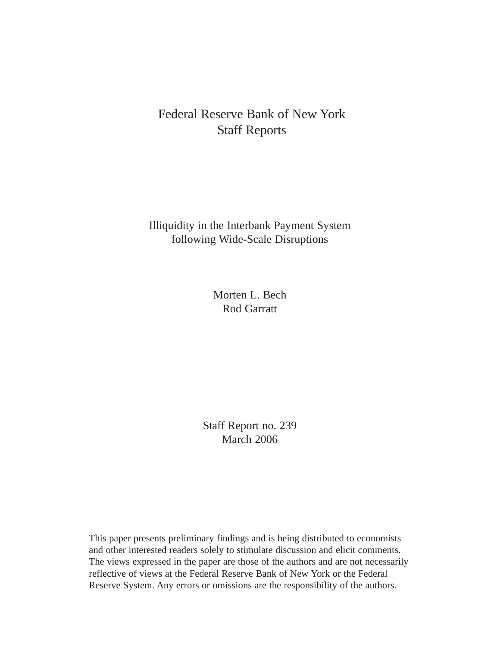# Federal Reserve Bank of New York Staff Reports

Illiquidity in the Interbank Payment System following Wide-Scale Disruptions

> Morten L. Bech Rod Garratt

Staff Report no. 239 March 2006

This paper presents preliminary findings and is being distributed to economists and other interested readers solely to stimulate discussion and elicit comments. The views expressed in the paper are those of the authors and are not necessarily reflective of views at the Federal Reserve Bank of New York or the Federal Reserve System. Any errors or omissions are the responsibility of the authors.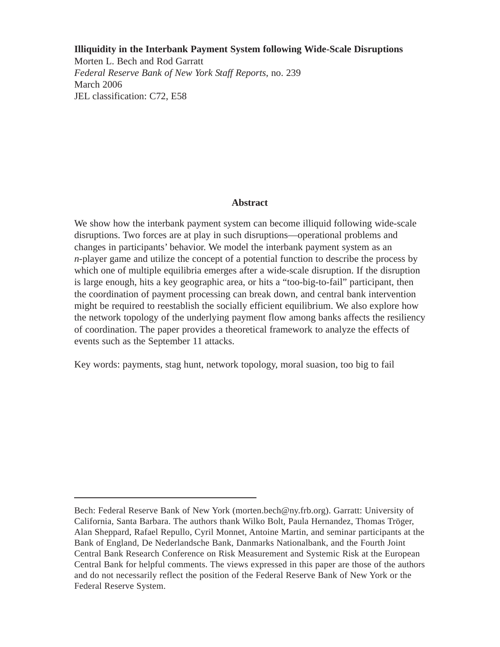## **Illiquidity in the Interbank Payment System following Wide-Scale Disruptions**

Morten L. Bech and Rod Garratt *Federal Reserve Bank of New York Staff Reports*, no. 239 March 2006 JEL classification: C72, E58

## **Abstract**

We show how the interbank payment system can become illiquid following wide-scale disruptions. Two forces are at play in such disruptions—operational problems and changes in participants' behavior. We model the interbank payment system as an *n*-player game and utilize the concept of a potential function to describe the process by which one of multiple equilibria emerges after a wide-scale disruption. If the disruption is large enough, hits a key geographic area, or hits a "too-big-to-fail" participant, then the coordination of payment processing can break down, and central bank intervention might be required to reestablish the socially efficient equilibrium. We also explore how the network topology of the underlying payment flow among banks affects the resiliency of coordination. The paper provides a theoretical framework to analyze the effects of events such as the September 11 attacks.

Key words: payments, stag hunt, network topology, moral suasion, too big to fail

Bech: Federal Reserve Bank of New York (morten.bech@ny.frb.org). Garratt: University of California, Santa Barbara. The authors thank Wilko Bolt, Paula Hernandez, Thomas Tröger, Alan Sheppard, Rafael Repullo, Cyril Monnet, Antoine Martin, and seminar participants at the Bank of England, De Nederlandsche Bank, Danmarks Nationalbank, and the Fourth Joint Central Bank Research Conference on Risk Measurement and Systemic Risk at the European Central Bank for helpful comments. The views expressed in this paper are those of the authors and do not necessarily reflect the position of the Federal Reserve Bank of New York or the Federal Reserve System.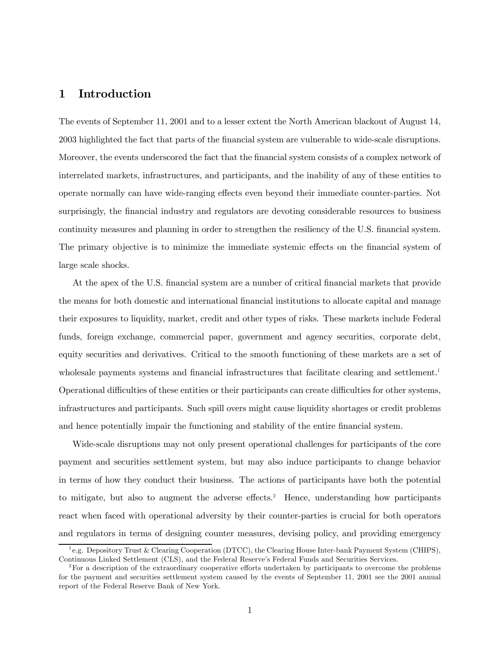# 1 Introduction

The events of September 11, 2001 and to a lesser extent the North American blackout of August 14, 2003 highlighted the fact that parts of the financial system are vulnerable to wide-scale disruptions. Moreover, the events underscored the fact that the financial system consists of a complex network of interrelated markets, infrastructures, and participants, and the inability of any of these entities to operate normally can have wide-ranging effects even beyond their immediate counter-parties. Not surprisingly, the financial industry and regulators are devoting considerable resources to business continuity measures and planning in order to strengthen the resiliency of the U.S. financial system. The primary objective is to minimize the immediate systemic effects on the financial system of large scale shocks.

At the apex of the U.S. financial system are a number of critical financial markets that provide the means for both domestic and international financial institutions to allocate capital and manage their exposures to liquidity, market, credit and other types of risks. These markets include Federal funds, foreign exchange, commercial paper, government and agency securities, corporate debt, equity securities and derivatives. Critical to the smooth functioning of these markets are a set of wholesale payments systems and financial infrastructures that facilitate clearing and settlement.<sup>1</sup> Operational difficulties of these entities or their participants can create difficulties for other systems, infrastructures and participants. Such spill overs might cause liquidity shortages or credit problems and hence potentially impair the functioning and stability of the entire financial system.

Wide-scale disruptions may not only present operational challenges for participants of the core payment and securities settlement system, but may also induce participants to change behavior in terms of how they conduct their business. The actions of participants have both the potential to mitigate, but also to augment the adverse effects.2 Hence, understanding how participants react when faced with operational adversity by their counter-parties is crucial for both operators and regulators in terms of designing counter measures, devising policy, and providing emergency

<sup>&</sup>lt;sup>1</sup> e.g. Depository Trust & Clearing Cooperation (DTCC), the Clearing House Inter-bank Payment System (CHIPS), Continuous Linked Settlement (CLS), and the Federal Reserve's Federal Funds and Securities Services.

<sup>&</sup>lt;sup>2</sup>For a description of the extraordinary cooperative efforts undertaken by participants to overcome the problems for the payment and securities settlement system caused by the events of September 11, 2001 see the 2001 annual report of the Federal Reserve Bank of New York.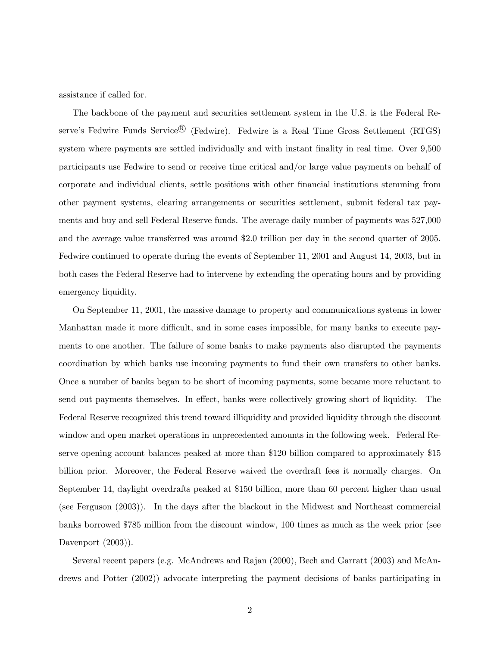assistance if called for.

The backbone of the payment and securities settlement system in the U.S. is the Federal Reserve's Fedwire Funds Service<sup>®</sup> (Fedwire). Fedwire is a Real Time Gross Settlement (RTGS) system where payments are settled individually and with instant finality in real time. Over 9,500 participants use Fedwire to send or receive time critical and/or large value payments on behalf of corporate and individual clients, settle positions with other financial institutions stemming from other payment systems, clearing arrangements or securities settlement, submit federal tax payments and buy and sell Federal Reserve funds. The average daily number of payments was 527,000 and the average value transferred was around \$2.0 trillion per day in the second quarter of 2005. Fedwire continued to operate during the events of September 11, 2001 and August 14, 2003, but in both cases the Federal Reserve had to intervene by extending the operating hours and by providing emergency liquidity.

On September 11, 2001, the massive damage to property and communications systems in lower Manhattan made it more difficult, and in some cases impossible, for many banks to execute payments to one another. The failure of some banks to make payments also disrupted the payments coordination by which banks use incoming payments to fund their own transfers to other banks. Once a number of banks began to be short of incoming payments, some became more reluctant to send out payments themselves. In effect, banks were collectively growing short of liquidity. The Federal Reserve recognized this trend toward illiquidity and provided liquidity through the discount window and open market operations in unprecedented amounts in the following week. Federal Reserve opening account balances peaked at more than \$120 billion compared to approximately \$15 billion prior. Moreover, the Federal Reserve waived the overdraft fees it normally charges. On September 14, daylight overdrafts peaked at \$150 billion, more than 60 percent higher than usual (see Ferguson (2003)). In the days after the blackout in the Midwest and Northeast commercial banks borrowed \$785 million from the discount window, 100 times as much as the week prior (see Davenport  $(2003)$ ).

Several recent papers (e.g. McAndrews and Rajan (2000), Bech and Garratt (2003) and McAndrews and Potter (2002)) advocate interpreting the payment decisions of banks participating in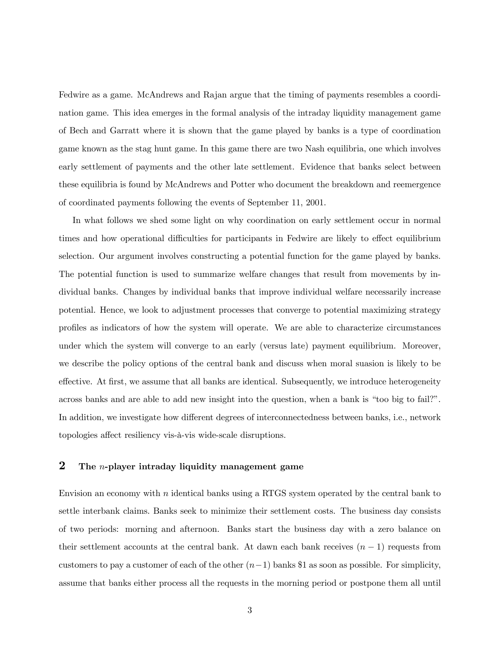Fedwire as a game. McAndrews and Rajan argue that the timing of payments resembles a coordination game. This idea emerges in the formal analysis of the intraday liquidity management game of Bech and Garratt where it is shown that the game played by banks is a type of coordination game known as the stag hunt game. In this game there are two Nash equilibria, one which involves early settlement of payments and the other late settlement. Evidence that banks select between these equilibria is found by McAndrews and Potter who document the breakdown and reemergence of coordinated payments following the events of September 11, 2001.

In what follows we shed some light on why coordination on early settlement occur in normal times and how operational difficulties for participants in Fedwire are likely to effect equilibrium selection. Our argument involves constructing a potential function for the game played by banks. The potential function is used to summarize welfare changes that result from movements by individual banks. Changes by individual banks that improve individual welfare necessarily increase potential. Hence, we look to adjustment processes that converge to potential maximizing strategy profiles as indicators of how the system will operate. We are able to characterize circumstances under which the system will converge to an early (versus late) payment equilibrium. Moreover, we describe the policy options of the central bank and discuss when moral suasion is likely to be effective. At first, we assume that all banks are identical. Subsequently, we introduce heterogeneity across banks and are able to add new insight into the question, when a bank is "too big to fail?". In addition, we investigate how different degrees of interconnectedness between banks, i.e., network topologies affect resiliency vis-à-vis wide-scale disruptions.

### 2 The *n*-player intraday liquidity management game

Envision an economy with n identical banks using a RTGS system operated by the central bank to settle interbank claims. Banks seek to minimize their settlement costs. The business day consists of two periods: morning and afternoon. Banks start the business day with a zero balance on their settlement accounts at the central bank. At dawn each bank receives  $(n-1)$  requests from customers to pay a customer of each of the other  $(n-1)$  banks \$1 as soon as possible. For simplicity, assume that banks either process all the requests in the morning period or postpone them all until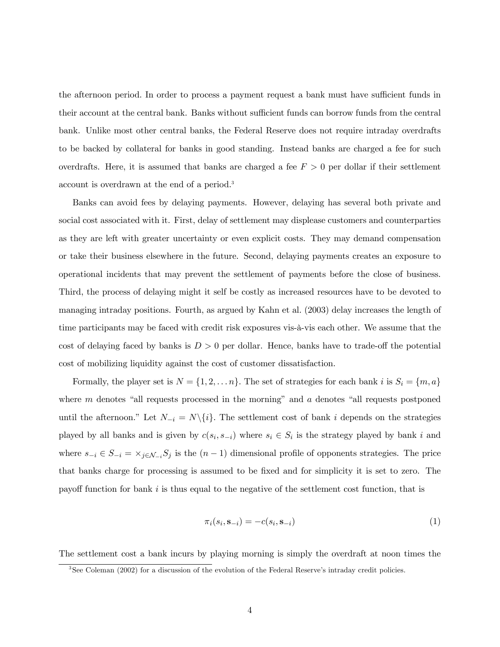the afternoon period. In order to process a payment request a bank must have sufficient funds in their account at the central bank. Banks without sufficient funds can borrow funds from the central bank. Unlike most other central banks, the Federal Reserve does not require intraday overdrafts to be backed by collateral for banks in good standing. Instead banks are charged a fee for such overdrafts. Here, it is assumed that banks are charged a fee  $F > 0$  per dollar if their settlement account is overdrawn at the end of a period.3

Banks can avoid fees by delaying payments. However, delaying has several both private and social cost associated with it. First, delay of settlement may displease customers and counterparties as they are left with greater uncertainty or even explicit costs. They may demand compensation or take their business elsewhere in the future. Second, delaying payments creates an exposure to operational incidents that may prevent the settlement of payments before the close of business. Third, the process of delaying might it self be costly as increased resources have to be devoted to managing intraday positions. Fourth, as argued by Kahn et al. (2003) delay increases the length of time participants may be faced with credit risk exposures vis-à-vis each other. We assume that the cost of delaying faced by banks is  $D > 0$  per dollar. Hence, banks have to trade-off the potential cost of mobilizing liquidity against the cost of customer dissatisfaction.

Formally, the player set is  $N = \{1, 2, ..., n\}$ . The set of strategies for each bank i is  $S_i = \{m, a\}$ where  $m$  denotes "all requests processed in the morning" and  $a$  denotes "all requests postponed until the afternoon." Let  $N_{-i} = N\backslash\{i\}$ . The settlement cost of bank i depends on the strategies played by all banks and is given by  $c(s_i, s_{-i})$  where  $s_i \in S_i$  is the strategy played by bank i and where  $s_{-i} \in S_{-i} = \times_{j \in \mathcal{N}_{-i}} S_j$  is the  $(n-1)$  dimensional profile of opponents strategies. The price that banks charge for processing is assumed to be fixed and for simplicity it is set to zero. The payoff function for bank  $i$  is thus equal to the negative of the settlement cost function, that is

$$
\pi_i(s_i, \mathbf{s}_{-i}) = -c(s_i, \mathbf{s}_{-i})\tag{1}
$$

The settlement cost a bank incurs by playing morning is simply the overdraft at noon times the

<sup>&</sup>lt;sup>3</sup>See Coleman (2002) for a discussion of the evolution of the Federal Reserve's intraday credit policies.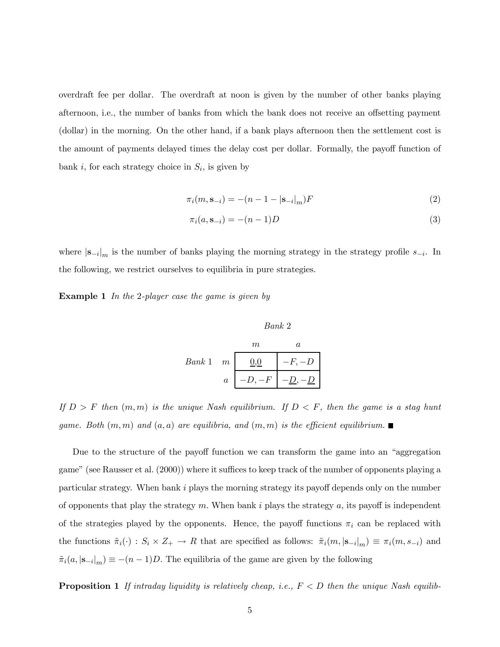overdraft fee per dollar. The overdraft at noon is given by the number of other banks playing afternoon, i.e., the number of banks from which the bank does not receive an offsetting payment (dollar) in the morning. On the other hand, if a bank plays afternoon then the settlement cost is the amount of payments delayed times the delay cost per dollar. Formally, the payoff function of bank i, for each strategy choice in  $S_i$ , is given by

$$
\pi_i(m, \mathbf{s}_{-i}) = -(n - 1 - |\mathbf{s}_{-i}|_m)F
$$
\n(2)

$$
\pi_i(a, s_{-i}) = -(n-1)D
$$
\n(3)

where  $|s_{-i}|_m$  is the number of banks playing the morning strategy in the strategy profile  $s_{-i}$ . In the following, we restrict ourselves to equilibria in pure strategies.

**Example 1** In the 2-player case the game is given by

$$
Bank 2
$$
\n
$$
Bank 1 \quad m \quad a
$$
\n
$$
a \quad -D, -F \quad -D, -D
$$

If  $D>F$  then  $(m, m)$  is the unique Nash equilibrium. If  $D \leq F$ , then the game is a stag hunt game. Both  $(m, m)$  and  $(a, a)$  are equilibria, and  $(m, m)$  is the efficient equilibrium.

Due to the structure of the payoff function we can transform the game into an "aggregation game" (see Rausser et al. (2000)) where it suffices to keep track of the number of opponents playing a particular strategy. When bank i plays the morning strategy its payoff depends only on the number of opponents that play the strategy  $m$ . When bank i plays the strategy  $a$ , its payoff is independent of the strategies played by the opponents. Hence, the payoff functions  $\pi_i$  can be replaced with the functions  $\tilde{\pi}_i(\cdot) : S_i \times Z_+ \to R$  that are specified as follows:  $\tilde{\pi}_i(m, |\mathbf{s}_{-i}|_m) \equiv \pi_i(m, s_{-i})$  and  $\tilde{\pi}_i(a, |\mathbf{s}_{-i}|_m) \equiv -(n-1)D$ . The equilibria of the game are given by the following

**Proposition 1** If intraday liquidity is relatively cheap, i.e.,  $F < D$  then the unique Nash equilib-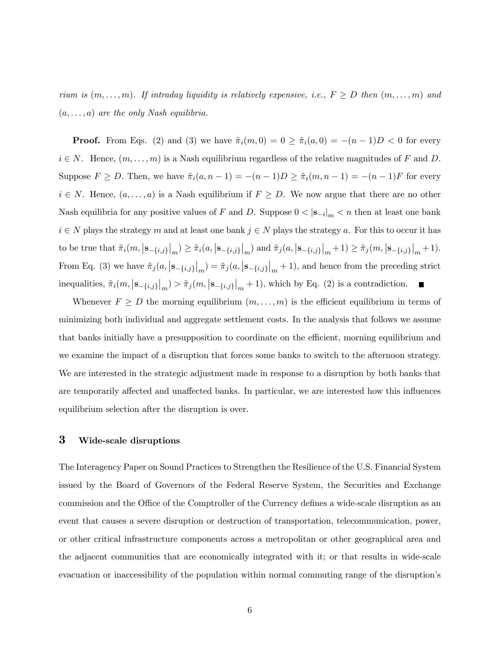rium is  $(m, \ldots, m)$ . If intraday liquidity is relatively expensive, i.e.,  $F \ge D$  then  $(m, \ldots, m)$  and  $(a, \ldots, a)$  are the only Nash equilibria.

**Proof.** From Eqs. (2) and (3) we have  $\tilde{\pi}_i(m, 0) = 0 \ge \tilde{\pi}_i(a, 0) = -(n-1)D < 0$  for every  $i \in N$ . Hence,  $(m, \ldots, m)$  is a Nash equilibrium regardless of the relative magnitudes of F and D. Suppose  $F \ge D$ . Then, we have  $\tilde{\pi}_i(a, n-1) = -(n-1)D \ge \tilde{\pi}_i(m, n-1) = -(n-1)F$  for every  $i \in N$ . Hence,  $(a, \ldots, a)$  is a Nash equilibrium if  $F \geq D$ . We now argue that there are no other Nash equilibria for any positive values of F and D. Suppose  $0 < |\mathbf{s}_{-i}|_m < n$  then at least one bank  $i \in N$  plays the strategy m and at least one bank  $j \in N$  plays the strategy a. For this to occur it has to be true that  $\pi_i(m, |s_{-\{i,j\}}|_m) \ge \pi_i(a, |s_{-\{i,j\}}|_m)$  and  $\pi_j(a, |s_{-\{i,j\}}|_m + 1) \ge \pi_j(m, |s_{-\{i,j\}}|_m + 1)$ . From Eq. (3) we have  $\tilde{\pi}_j(a, |\mathbf{s}_{-\{i,j\}}|_m) = \tilde{\pi}_j(a, |\mathbf{s}_{-\{i,j\}}|_m + 1)$ , and hence from the preceding strict inequalities,  $\tilde{\pi}_i(m, |\mathbf{s}_{-\{i,j\}}|_m) > \tilde{\pi}_j(m, |\mathbf{s}_{-\{i,j\}}|_m + 1)$ , which by Eq. (2) is a contradiction.

Whenever  $F \ge D$  the morning equilibrium  $(m, \ldots, m)$  is the efficient equilibrium in terms of minimizing both individual and aggregate settlement costs. In the analysis that follows we assume that banks initially have a presupposition to coordinate on the efficient, morning equilibrium and we examine the impact of a disruption that forces some banks to switch to the afternoon strategy. We are interested in the strategic adjustment made in response to a disruption by both banks that are temporarily affected and unaffected banks. In particular, we are interested how this influences equilibrium selection after the disruption is over.

## 3 Wide-scale disruptions

The Interagency Paper on Sound Practices to Strengthen the Resilience of the U.S. Financial System issued by the Board of Governors of the Federal Reserve System, the Securities and Exchange commission and the Office of the Comptroller of the Currency defines a wide-scale disruption as an event that causes a severe disruption or destruction of transportation, telecommunication, power, or other critical infrastructure components across a metropolitan or other geographical area and the adjacent communities that are economically integrated with it; or that results in wide-scale evacuation or inaccessibility of the population within normal commuting range of the disruption's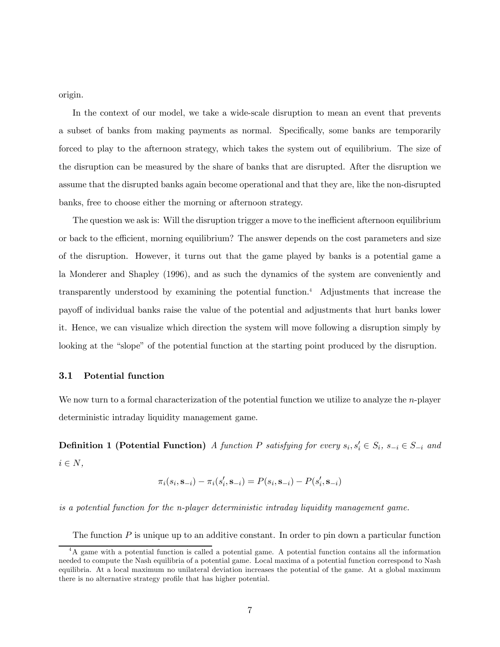origin.

In the context of our model, we take a wide-scale disruption to mean an event that prevents a subset of banks from making payments as normal. Specifically, some banks are temporarily forced to play to the afternoon strategy, which takes the system out of equilibrium. The size of the disruption can be measured by the share of banks that are disrupted. After the disruption we assume that the disrupted banks again become operational and that they are, like the non-disrupted banks, free to choose either the morning or afternoon strategy.

The question we ask is: Will the disruption trigger a move to the inefficient afternoon equilibrium or back to the efficient, morning equilibrium? The answer depends on the cost parameters and size of the disruption. However, it turns out that the game played by banks is a potential game a la Monderer and Shapley (1996), and as such the dynamics of the system are conveniently and transparently understood by examining the potential function.4 Adjustments that increase the payoff of individual banks raise the value of the potential and adjustments that hurt banks lower it. Hence, we can visualize which direction the system will move following a disruption simply by looking at the "slope" of the potential function at the starting point produced by the disruption.

#### 3.1 Potential function

We now turn to a formal characterization of the potential function we utilize to analyze the  $n$ -player deterministic intraday liquidity management game.

**Definition 1 (Potential Function)** A function P satisfying for every  $s_i, s_i \in S_i$ ,  $s_{-i} \in S_{-i}$  and  $i \in N$ ,

$$
\pi_i(s_i, \mathbf{s}_{-i}) - \pi_i(s'_i, \mathbf{s}_{-i}) = P(s_i, \mathbf{s}_{-i}) - P(s'_i, \mathbf{s}_{-i})
$$

is a potential function for the n-player deterministic intraday liquidity management game.

The function  $P$  is unique up to an additive constant. In order to pin down a particular function

<sup>4</sup>A game with a potential function is called a potential game. A potential function contains all the information needed to compute the Nash equilibria of a potential game. Local maxima of a potential function correspond to Nash equilibria. At a local maximum no unilateral deviation increases the potential of the game. At a global maximum there is no alternative strategy profile that has higher potential.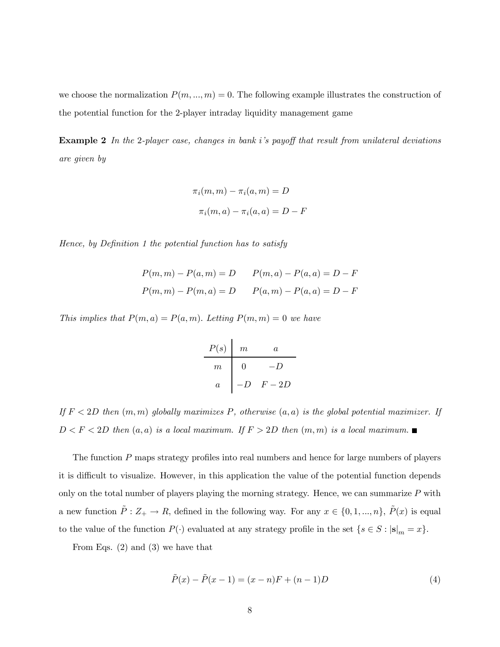we choose the normalization  $P(m, ..., m) = 0$ . The following example illustrates the construction of the potential function for the 2-player intraday liquidity management game

**Example 2** In the 2-player case, changes in bank i's payoff that result from unilateral deviations are given by

$$
\pi_i(m, m) - \pi_i(a, m) = D
$$

$$
\pi_i(m, a) - \pi_i(a, a) = D - F
$$

Hence, by Definition 1 the potential function has to satisfy

$$
P(m, m) - P(a, m) = D \t P(m, a) - P(a, a) = D - F
$$
  

$$
P(m, m) - P(m, a) = D \t P(a, m) - P(a, a) = D - F
$$

This implies that  $P(m, a) = P(a, m)$ . Letting  $P(m, m) = 0$  we have

| $P(s)$ | $m$ | $a$  |
|--------|-----|------|
| $m$    | 0   | -D   |
| $a$    | -D  | F-2D |

If  $F < 2D$  then  $(m, m)$  globally maximizes P, otherwise  $(a, a)$  is the global potential maximizer. If  $D < F < 2D$  then  $(a, a)$  is a local maximum. If  $F > 2D$  then  $(m, m)$  is a local maximum.

The function P maps strategy profiles into real numbers and hence for large numbers of players it is difficult to visualize. However, in this application the value of the potential function depends only on the total number of players playing the morning strategy. Hence, we can summarize  $P$  with a new function  $\tilde{P}: Z_+ \to R$ , defined in the following way. For any  $x \in \{0, 1, ..., n\}$ ,  $\tilde{P}(x)$  is equal to the value of the function  $P(\cdot)$  evaluated at any strategy profile in the set  $\{s \in S : |\mathbf{s}|_m = x\}.$ 

From Eqs. (2) and (3) we have that

$$
\tilde{P}(x) - \tilde{P}(x - 1) = (x - n)F + (n - 1)D
$$
\n(4)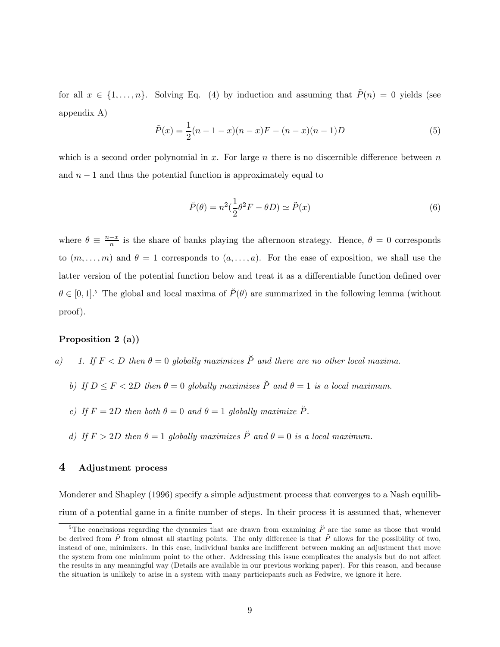for all  $x \in \{1,\ldots,n\}$ . Solving Eq. (4) by induction and assuming that  $\tilde{P}(n)=0$  yields (see appendix A)

$$
\tilde{P}(x) = \frac{1}{2}(n-1-x)(n-x)F - (n-x)(n-1)D\tag{5}
$$

which is a second order polynomial in x. For large n there is no discernible difference between  $n$ and  $n-1$  and thus the potential function is approximately equal to

$$
\breve{P}(\theta) = n^2 \left(\frac{1}{2}\theta^2 F - \theta D\right) \simeq \tilde{P}(x)
$$
\n(6)

where  $\theta \equiv \frac{n-x}{n}$  is the share of banks playing the afternoon strategy. Hence,  $\theta = 0$  corresponds to  $(m, \ldots, m)$  and  $\theta = 1$  corresponds to  $(a, \ldots, a)$ . For the ease of exposition, we shall use the latter version of the potential function below and treat it as a differentiable function defined over  $\theta \in [0,1].$ <sup>5</sup> The global and local maxima of  $\tilde{P}(\theta)$  are summarized in the following lemma (without proof).

#### Proposition 2 (a))

- a) 1. If  $F < D$  then  $\theta = 0$  globally maximizes  $\check{P}$  and there are no other local maxima.
	- b) If  $D \leq F < 2D$  then  $\theta = 0$  globally maximizes  $\tilde{P}$  and  $\theta = 1$  is a local maximum.
	- c) If  $F = 2D$  then both  $\theta = 0$  and  $\theta = 1$  globally maximize  $\check{P}$ .
	- d) If  $F > 2D$  then  $\theta = 1$  globally maximizes  $\tilde{P}$  and  $\theta = 0$  is a local maximum.

## 4 Adjustment process

Monderer and Shapley (1996) specify a simple adjustment process that converges to a Nash equilibrium of a potential game in a finite number of steps. In their process it is assumed that, whenever

<sup>&</sup>lt;sup>5</sup>The conclusions regarding the dynamics that are drawn from examining  $\check{P}$  are the same as those that would be derived from  $\tilde{P}$  from almost all starting points. The only difference is that  $\tilde{P}$  allows for the possibility of two, instead of one, minimizers. In this case, individual banks are indifferent between making an adjustment that move the system from one minimum point to the other. Addressing this issue complicates the analysis but do not affect the results in any meaningful way (Details are available in our previous working paper). For this reason, and because the situation is unlikely to arise in a system with many particicpants such as Fedwire, we ignore it here.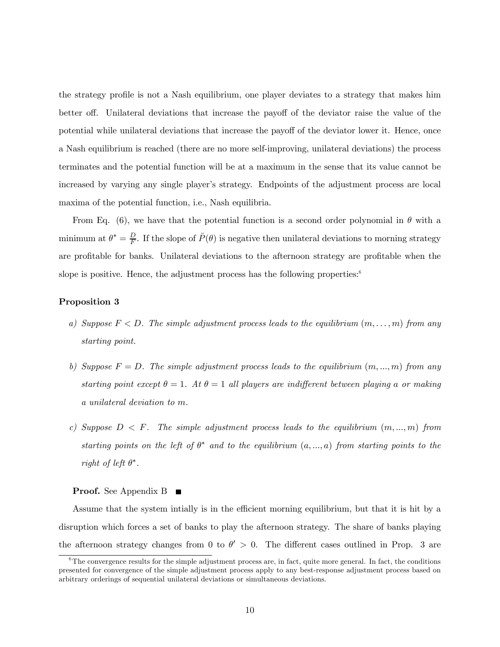the strategy profile is not a Nash equilibrium, one player deviates to a strategy that makes him better off. Unilateral deviations that increase the payoff of the deviator raise the value of the potential while unilateral deviations that increase the payoff of the deviator lower it. Hence, once a Nash equilibrium is reached (there are no more self-improving, unilateral deviations) the process terminates and the potential function will be at a maximum in the sense that its value cannot be increased by varying any single player's strategy. Endpoints of the adjustment process are local maxima of the potential function, i.e., Nash equilibria.

From Eq. (6), we have that the potential function is a second order polynomial in  $\theta$  with a minimum at  $\theta^* = \frac{D}{F}$ . If the slope of  $\breve{P}(\theta)$  is negative then unilateral deviations to morning strategy are profitable for banks. Unilateral deviations to the afternoon strategy are profitable when the slope is positive. Hence, the adjustment process has the following properties:<sup>6</sup>

#### Proposition 3

- a) Suppose  $F < D$ . The simple adjustment process leads to the equilibrium  $(m, \ldots, m)$  from any starting point.
- b) Suppose  $F = D$ . The simple adjustment process leads to the equilibrium  $(m, ..., m)$  from any starting point except  $\theta = 1$ . At  $\theta = 1$  all players are indifferent between playing a or making a unilateral deviation to m.
- c) Suppose  $D \leq F$ . The simple adjustment process leads to the equilibrium  $(m, ..., m)$  from starting points on the left of  $\theta^*$  and to the equilibrium  $(a, ..., a)$  from starting points to the right of left  $\theta^*$ .

#### **Proof.** See Appendix B

Assume that the system intially is in the efficient morning equilibrium, but that it is hit by a disruption which forces a set of banks to play the afternoon strategy. The share of banks playing the afternoon strategy changes from 0 to  $\theta' > 0$ . The different cases outlined in Prop. 3 are

 $6$ The convergence results for the simple adjustment process are, in fact, quite more general. In fact, the conditions presented for convergence of the simple adjustment process apply to any best-response adjustment process based on arbitrary orderings of sequential unilateral deviations or simultaneous deviations.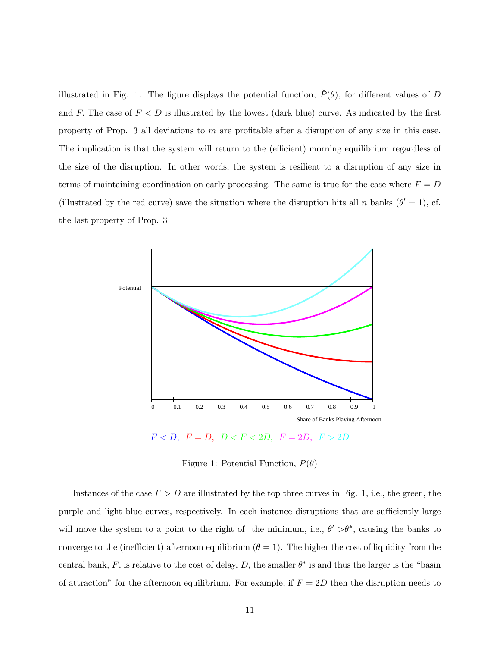illustrated in Fig. 1. The figure displays the potential function,  $\check{P}(\theta)$ , for different values of D and F. The case of  $F < D$  is illustrated by the lowest (dark blue) curve. As indicated by the first property of Prop. 3 all deviations to m are profitable after a disruption of any size in this case. The implication is that the system will return to the (efficient) morning equilibrium regardless of the size of the disruption. In other words, the system is resilient to a disruption of any size in terms of maintaining coordination on early processing. The same is true for the case where  $F = D$ (illustrated by the red curve) save the situation where the disruption hits all n banks ( $\theta' = 1$ ), cf. the last property of Prop. 3



 $F < D, F = D, D < F < 2D, F = 2D, F > 2D$ 

Figure 1: Potential Function,  $P(\theta)$ 

Instances of the case  $F > D$  are illustrated by the top three curves in Fig. 1, i.e., the green, the purple and light blue curves, respectively. In each instance disruptions that are sufficiently large will move the system to a point to the right of the minimum, i.e.,  $\theta' > \theta^*$ , causing the banks to converge to the (inefficient) afternoon equilibrium  $(\theta = 1)$ . The higher the cost of liquidity from the central bank, F, is relative to the cost of delay, D, the smaller  $\theta^*$  is and thus the larger is the "basin of attraction" for the afternoon equilibrium. For example, if  $F = 2D$  then the disruption needs to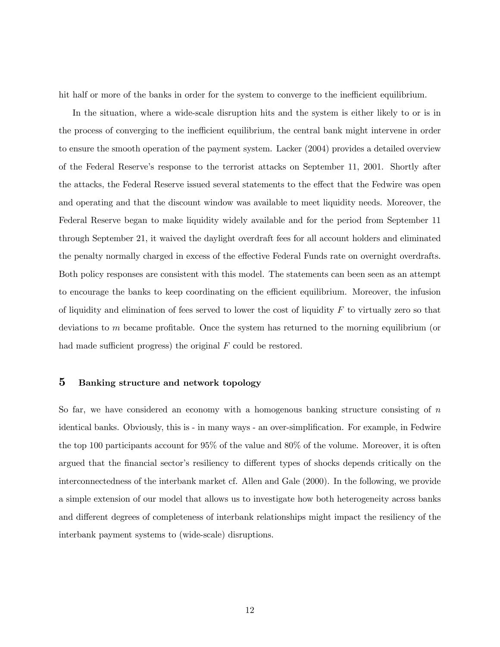hit half or more of the banks in order for the system to converge to the inefficient equilibrium.

In the situation, where a wide-scale disruption hits and the system is either likely to or is in the process of converging to the inefficient equilibrium, the central bank might intervene in order to ensure the smooth operation of the payment system. Lacker (2004) provides a detailed overview of the Federal Reserve's response to the terrorist attacks on September 11, 2001. Shortly after the attacks, the Federal Reserve issued several statements to the effect that the Fedwire was open and operating and that the discount window was available to meet liquidity needs. Moreover, the Federal Reserve began to make liquidity widely available and for the period from September 11 through September 21, it waived the daylight overdraft fees for all account holders and eliminated the penalty normally charged in excess of the effective Federal Funds rate on overnight overdrafts. Both policy responses are consistent with this model. The statements can been seen as an attempt to encourage the banks to keep coordinating on the efficient equilibrium. Moreover, the infusion of liquidity and elimination of fees served to lower the cost of liquidity  $F$  to virtually zero so that deviations to m became profitable. Once the system has returned to the morning equilibrium (or had made sufficient progress) the original  $F$  could be restored.

## 5 Banking structure and network topology

So far, we have considered an economy with a homogenous banking structure consisting of  $n$ identical banks. Obviously, this is - in many ways - an over-simplification. For example, in Fedwire the top 100 participants account for 95% of the value and 80% of the volume. Moreover, it is often argued that the financial sector's resiliency to different types of shocks depends critically on the interconnectedness of the interbank market cf. Allen and Gale (2000). In the following, we provide a simple extension of our model that allows us to investigate how both heterogeneity across banks and different degrees of completeness of interbank relationships might impact the resiliency of the interbank payment systems to (wide-scale) disruptions.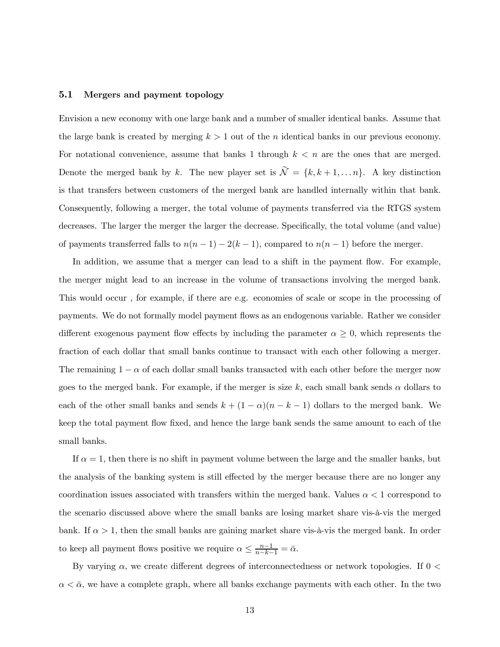#### 5.1 Mergers and payment topology

Envision a new economy with one large bank and a number of smaller identical banks. Assume that the large bank is created by merging  $k > 1$  out of the *n* identical banks in our previous economy. For notational convenience, assume that banks 1 through  $k < n$  are the ones that are merged. Denote the merged bank by k. The new player set is  $\widetilde{\mathcal{N}} = \{k, k+1, \ldots n\}$ . A key distinction is that transfers between customers of the merged bank are handled internally within that bank. Consequently, following a merger, the total volume of payments transferred via the RTGS system decreases. The larger the merger the larger the decrease. Specifically, the total volume (and value) of payments transferred falls to  $n(n-1) - 2(k-1)$ , compared to  $n(n-1)$  before the merger.

In addition, we assume that a merger can lead to a shift in the payment flow. For example, the merger might lead to an increase in the volume of transactions involving the merged bank. This would occur , for example, if there are e.g. economies of scale or scope in the processing of payments. We do not formally model payment flows as an endogenous variable. Rather we consider different exogenous payment flow effects by including the parameter  $\alpha \geq 0$ , which represents the fraction of each dollar that small banks continue to transact with each other following a merger. The remaining  $1 - \alpha$  of each dollar small banks transacted with each other before the merger now goes to the merged bank. For example, if the merger is size k, each small bank sends  $\alpha$  dollars to each of the other small banks and sends  $k + (1 - \alpha)(n - k - 1)$  dollars to the merged bank. We keep the total payment flow fixed, and hence the large bank sends the same amount to each of the small banks.

If  $\alpha = 1$ , then there is no shift in payment volume between the large and the smaller banks, but the analysis of the banking system is still effected by the merger because there are no longer any coordination issues associated with transfers within the merged bank. Values  $\alpha < 1$  correspond to the scenario discussed above where the small banks are losing market share vis-à-vis the merged bank. If  $\alpha > 1$ , then the small banks are gaining market share vis-à-vis the merged bank. In order to keep all payment flows positive we require  $\alpha \leq \frac{n-1}{n-k-1} = \bar{\alpha}$ .

By varying  $\alpha$ , we create different degrees of interconnectedness or network topologies. If  $0 <$  $\alpha < \bar{\alpha}$ , we have a complete graph, where all banks exchange payments with each other. In the two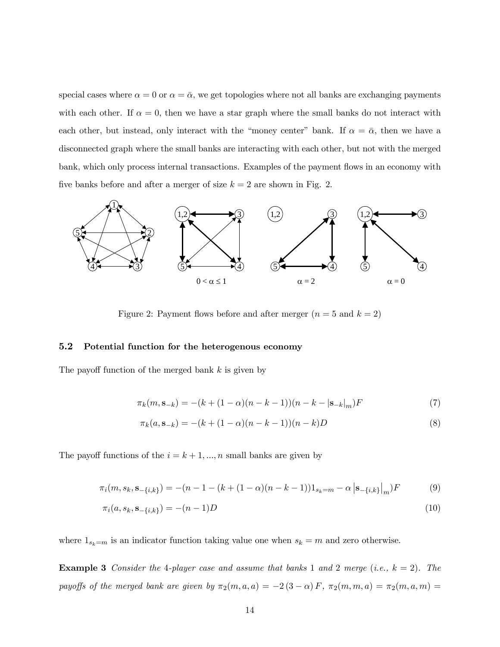special cases where  $\alpha = 0$  or  $\alpha = \bar{\alpha}$ , we get topologies where not all banks are exchanging payments with each other. If  $\alpha = 0$ , then we have a star graph where the small banks do not interact with each other, but instead, only interact with the "money center" bank. If  $\alpha = \bar{\alpha}$ , then we have a disconnected graph where the small banks are interacting with each other, but not with the merged bank, which only process internal transactions. Examples of the payment flows in an economy with five banks before and after a merger of size  $k = 2$  are shown in Fig. 2.



Figure 2: Payment flows before and after merger  $(n = 5 \text{ and } k = 2)$ 

#### 5.2 Potential function for the heterogenous economy

The payoff function of the merged bank k is given by

$$
\pi_k(m, \mathbf{s}_{-k}) = -(k + (1 - \alpha)(n - k - 1))(n - k - |\mathbf{s}_{-k}|_m)F
$$
\n(7)

$$
\pi_k(a, \mathbf{s}_{-k}) = -(k + (1 - \alpha)(n - k - 1))(n - k)D
$$
\n(8)

The payoff functions of the  $i = k + 1, ..., n$  small banks are given by

$$
\pi_i(m, s_k, \mathbf{s}_{-\{i,k\}}) = -(n-1 - (k + (1 - \alpha)(n - k - 1))1_{s_k = m} - \alpha \, |\mathbf{s}_{-\{i,k\}}|_m)F\tag{9}
$$

$$
\pi_i(a, s_k, \mathbf{s}_{-\{i,k\}}) = -(n-1)D\tag{10}
$$

where  $1_{s_k=m}$  is an indicator function taking value one when  $s_k = m$  and zero otherwise.

**Example 3** Consider the 4-player case and assume that banks 1 and 2 merge (i.e.,  $k = 2$ ). The payoffs of the merged bank are given by  $\pi_2(m, a, a) = -2(3 - \alpha) F$ ,  $\pi_2(m, m, a) = \pi_2(m, a, m) =$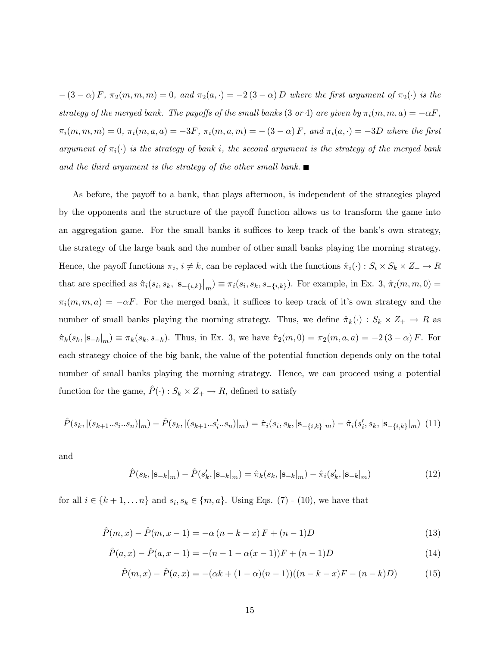$-(3-\alpha) F$ ,  $\pi_2(m, m, m) = 0$ , and  $\pi_2(a, \cdot) = -2(3-\alpha) D$  where the first argument of  $\pi_2(\cdot)$  is the strategy of the merged bank. The payoffs of the small banks (3 or 4) are given by  $\pi_i(m, m, a) = -\alpha F$ ,  $\pi_i(m, m, m) = 0$ ,  $\pi_i(m, a, a) = -3F$ ,  $\pi_i(m, a, m) = -(3 - \alpha)F$ , and  $\pi_i(a, \cdot) = -3D$  where the first argument of  $\pi_i(\cdot)$  is the strategy of bank i, the second argument is the strategy of the merged bank and the third argument is the strategy of the other small bank.

As before, the payoff to a bank, that plays afternoon, is independent of the strategies played by the opponents and the structure of the payoff function allows us to transform the game into an aggregation game. For the small banks it suffices to keep track of the bank's own strategy, the strategy of the large bank and the number of other small banks playing the morning strategy. Hence, the payoff functions  $\pi_i$ ,  $i \neq k$ , can be replaced with the functions  $\hat{\pi}_i(\cdot) : S_i \times S_k \times Z_+ \to R$ that are specified as  $\hat{\pi}_i(s_i, s_k, |\mathbf{s}_{-\{i,k\}}|_m) \equiv \pi_i(s_i, s_k, s_{-\{i,k\}})$ . For example, in Ex. 3,  $\hat{\pi}_i(m, m, 0) =$  $\pi_i(m, m, a) = -\alpha F$ . For the merged bank, it suffices to keep track of it's own strategy and the number of small banks playing the morning strategy. Thus, we define  $\hat{\pi}_k(\cdot) : S_k \times Z_+ \to R$  as  $\hat{\pi}_k(s_k, |\mathbf{s}_{-k}|_m) \equiv \pi_k(s_k, s_{-k})$ . Thus, in Ex. 3, we have  $\hat{\pi}_2(m, 0) = \pi_2(m, a, a) = -2(3 - \alpha) F$ . For each strategy choice of the big bank, the value of the potential function depends only on the total number of small banks playing the morning strategy. Hence, we can proceed using a potential function for the game,  $\hat{P}(\cdot) : S_k \times Z_+ \to R$ , defined to satisfy

$$
\hat{P}(s_k, |(s_{k+1} \dots s_i \dots s_n)|_m) - \hat{P}(s_k, |(s_{k+1} \dots s_i' \dots s_n)|_m) = \hat{\pi}_i(s_i, s_k, |\mathbf{s}_{-\{i,k\}}|_m) - \hat{\pi}_i(s_i', s_k, |\mathbf{s}_{-\{i,k\}}|_m)
$$
(11)

and

$$
\hat{P}(s_k, |\mathbf{s}_{-k}|_m) - \hat{P}(s'_k, |\mathbf{s}_{-k}|_m) = \hat{\pi}_k(s_k, |\mathbf{s}_{-k}|_m) - \hat{\pi}_i(s'_k, |\mathbf{s}_{-k}|_m)
$$
\n(12)

for all  $i \in \{k+1,\ldots n\}$  and  $s_i, s_k \in \{m, a\}$ . Using Eqs. (7) - (10), we have that

$$
\hat{P}(m,x) - \hat{P}(m,x-1) = -\alpha (n-k-x) F + (n-1) D \tag{13}
$$

$$
\hat{P}(a,x) - \hat{P}(a,x-1) = -(n-1 - \alpha(x-1))F + (n-1)D
$$
\n(14)

$$
\hat{P}(m,x) - \hat{P}(a,x) = -(\alpha k + (1 - \alpha)(n - 1))((n - k - x)F - (n - k)D)
$$
(15)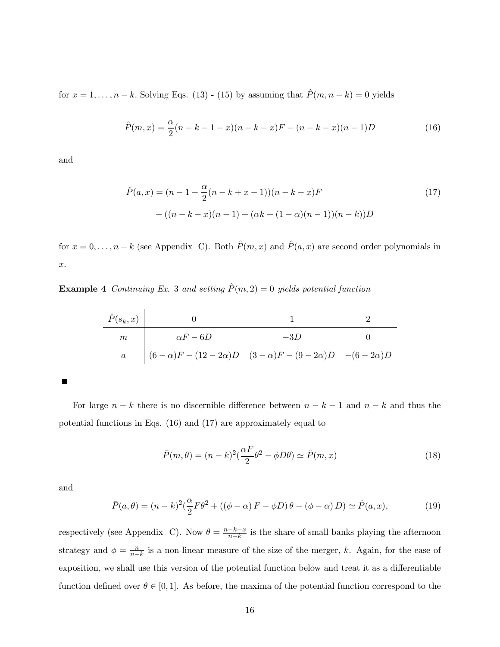for  $x = 1, \ldots, n - k$ . Solving Eqs. (13) - (15) by assuming that  $\hat{P}(m, n - k) = 0$  yields

$$
\hat{P}(m,x) = \frac{\alpha}{2}(n-k-1-x)(n-k-x)F - (n-k-x)(n-1)D\tag{16}
$$

and

$$
\hat{P}(a,x) = (n-1 - \frac{\alpha}{2}(n-k+x-1))(n-k-x)F
$$
  
-( $(n-k-x)(n-1) + (\alpha k + (1-\alpha)(n-1))(n-k))D$ ) (17)

for  $x = 0, \ldots, n - k$  (see Appendix C). Both  $\hat{P}(m, x)$  and  $\hat{P}(a, x)$  are second order polynomials in x.

**Example 4** Continuing Ex. 3 and setting  $\hat{P}(m, 2) = 0$  yields potential function

$$
\begin{array}{c|cccc}\n\hat{P}(s_k, x) & 0 & 1 & 2 \\
\hline\nm & \alpha F - 6D & -3D & 0 \\
a & (6 - \alpha)F - (12 - 2\alpha)D & (3 - \alpha)F - (9 - 2\alpha)D & -(6 - 2\alpha)D\n\end{array}
$$

п

For large  $n - k$  there is no discernible difference between  $n - k - 1$  and  $n - k$  and thus the potential functions in Eqs. (16) and (17) are approximately equal to

$$
\bar{P}(m,\theta) = (n-k)^2 \left(\frac{\alpha F}{2}\theta^2 - \phi D\theta\right) \simeq \hat{P}(m,x) \tag{18}
$$

and

$$
\bar{P}(a,\theta) = (n-k)^2 \left(\frac{\alpha}{2} F \theta^2 + \left((\phi - \alpha) F - \phi D\right) \theta - (\phi - \alpha) D\right) \simeq \hat{P}(a,x),\tag{19}
$$

respectively (see Appendix C). Now  $\theta = \frac{n-k-x}{n-k}$  is the share of small banks playing the afternoon strategy and  $\phi = \frac{n}{n-k}$  is a non-linear measure of the size of the merger, k. Again, for the ease of exposition, we shall use this version of the potential function below and treat it as a differentiable function defined over  $\theta \in [0, 1]$ . As before, the maxima of the potential function correspond to the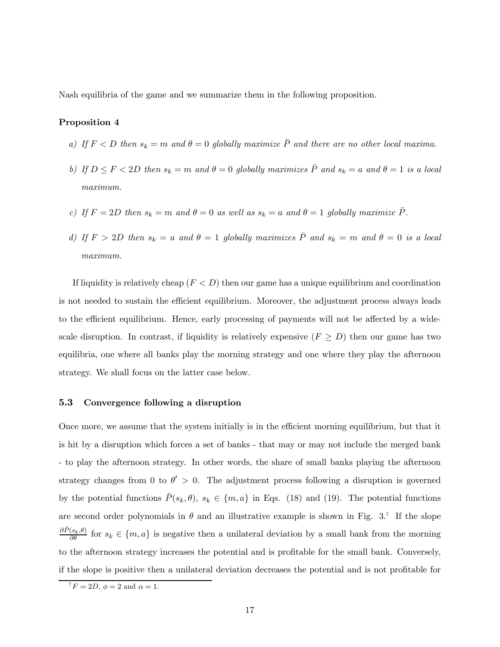Nash equilibria of the game and we summarize them in the following proposition.

#### Proposition 4

- a) If  $F < D$  then  $s_k = m$  and  $\theta = 0$  globally maximize  $\overline{P}$  and there are no other local maxima.
- b) If  $D \leq F < 2D$  then  $s_k = m$  and  $\theta = 0$  globally maximizes  $\overline{P}$  and  $s_k = a$  and  $\theta = 1$  is a local maximum.
- c) If  $F = 2D$  then  $s_k = m$  and  $\theta = 0$  as well as  $s_k = a$  and  $\theta = 1$  globally maximize  $\overline{P}$ .
- d) If  $F > 2D$  then  $s_k = a$  and  $\theta = 1$  globally maximizes  $\overline{P}$  and  $s_k = m$  and  $\theta = 0$  is a local maximum.

If liquidity is relatively cheap  $(F < D)$  then our game has a unique equilibrium and coordination is not needed to sustain the efficient equilibrium. Moreover, the adjustment process always leads to the efficient equilibrium. Hence, early processing of payments will not be affected by a widescale disruption. In contrast, if liquidity is relatively expensive  $(F \geq D)$  then our game has two equilibria, one where all banks play the morning strategy and one where they play the afternoon strategy. We shall focus on the latter case below.

#### 5.3 Convergence following a disruption

Once more, we assume that the system initially is in the efficient morning equilibrium, but that it is hit by a disruption which forces a set of banks - that may or may not include the merged bank - to play the afternoon strategy. In other words, the share of small banks playing the afternoon strategy changes from 0 to  $\theta' > 0$ . The adjustment process following a disruption is governed by the potential functions  $\bar{P}(s_k, \theta), s_k \in \{m, a\}$  in Eqs. (18) and (19). The potential functions are second order polynomials in  $\theta$  and an illustrative example is shown in Fig. 3.<sup>7</sup> If the slope  $\frac{\partial \bar{P}(s_k,\theta)}{\partial \theta}$  for  $s_k \in \{m,a\}$  is negative then a unilateral deviation by a small bank from the morning to the afternoon strategy increases the potential and is profitable for the small bank. Conversely, if the slope is positive then a unilateral deviation decreases the potential and is not profitable for

 ${}^{7}F = 2D, \phi = 2$  and  $\alpha = 1$ .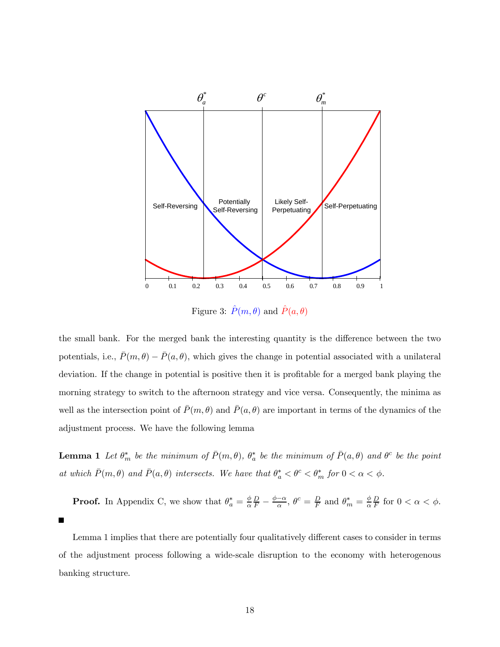

Figure 3:  $\hat{P}(m, \theta)$  and  $\hat{P}(a, \theta)$ 

the small bank. For the merged bank the interesting quantity is the difference between the two potentials, i.e.,  $\bar{P}(m, \theta) - \bar{P}(a, \theta)$ , which gives the change in potential associated with a unilateral deviation. If the change in potential is positive then it is profitable for a merged bank playing the morning strategy to switch to the afternoon strategy and vice versa. Consequently, the minima as well as the intersection point of  $\bar{P}(m, \theta)$  and  $\bar{P}(a, \theta)$  are important in terms of the dynamics of the adjustment process. We have the following lemma

**Lemma 1** Let  $\theta_m^*$  be the minimum of  $\bar{P}(m,\theta)$ ,  $\theta_a^*$  be the minimum of  $\bar{P}(a,\theta)$  and  $\theta_c^c$  be the point at which  $\bar{P}(m, \theta)$  and  $\bar{P}(a, \theta)$  intersects. We have that  $\theta_a^* < \theta^c < \theta_m^*$  for  $0 < \alpha < \phi$ .

**Proof.** In Appendix C, we show that  $\theta_a^* = \frac{\phi}{\alpha}$  $\frac{D}{F} - \frac{\phi - \alpha}{\alpha}, \ \theta^c = \frac{D}{F} \text{ and } \theta^*_m = \frac{\phi}{\alpha}$  $\frac{D}{F}$  for  $0 < \alpha < \phi$ .

Lemma 1 implies that there are potentially four qualitatively different cases to consider in terms of the adjustment process following a wide-scale disruption to the economy with heterogenous banking structure.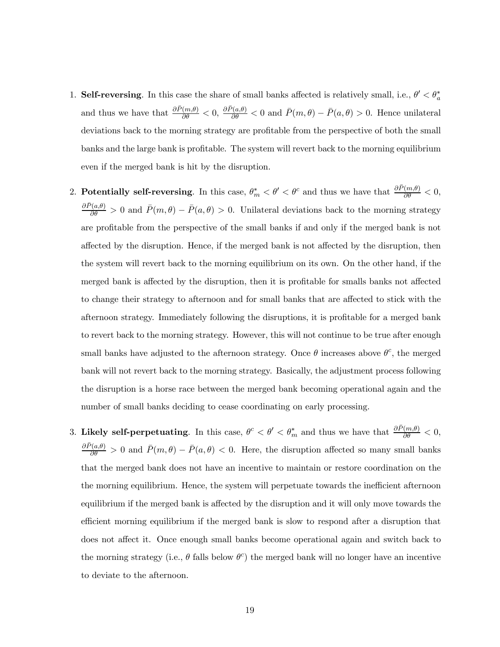- 1. Self-reversing. In this case the share of small banks affected is relatively small, i.e.,  $\theta' < \theta_a^*$ and thus we have that  $\frac{\partial \bar{P}(m,\theta)}{\partial \theta} < 0$ ,  $\frac{\partial \bar{P}(a,\theta)}{\partial \theta} < 0$  and  $\bar{P}(m,\theta) - \bar{P}(a,\theta) > 0$ . Hence unilateral deviations back to the morning strategy are profitable from the perspective of both the small banks and the large bank is profitable. The system will revert back to the morning equilibrium even if the merged bank is hit by the disruption.
- 2. Potentially self-reversing. In this case,  $\theta_m^* < \theta' < \theta^c$  and thus we have that  $\frac{\partial \bar{P}(m,\theta)}{\partial \theta} < 0$ ,  $\frac{\partial \bar{P}(a,\theta)}{\partial \theta} > 0$  and  $\bar{P}(m,\theta) - \bar{P}(a,\theta) > 0$ . Unilateral deviations back to the morning strategy are profitable from the perspective of the small banks if and only if the merged bank is not affected by the disruption. Hence, if the merged bank is not affected by the disruption, then the system will revert back to the morning equilibrium on its own. On the other hand, if the merged bank is affected by the disruption, then it is profitable for smalls banks not affected to change their strategy to afternoon and for small banks that are affected to stick with the afternoon strategy. Immediately following the disruptions, it is profitable for a merged bank to revert back to the morning strategy. However, this will not continue to be true after enough small banks have adjusted to the afternoon strategy. Once  $\theta$  increases above  $\theta^c$ , the merged bank will not revert back to the morning strategy. Basically, the adjustment process following the disruption is a horse race between the merged bank becoming operational again and the number of small banks deciding to cease coordinating on early processing.
- 3. Likely self-perpetuating. In this case,  $\theta^c < \theta' < \theta_m^*$  and thus we have that  $\frac{\partial \bar{P}(m,\theta)}{\partial \theta} < 0$ ,  $\frac{\partial \bar{P}(a,\theta)}{\partial \theta} > 0$  and  $\bar{P}(m,\theta) - \bar{P}(a,\theta) < 0$ . Here, the disruption affected so many small banks that the merged bank does not have an incentive to maintain or restore coordination on the the morning equilibrium. Hence, the system will perpetuate towards the inefficient afternoon equilibrium if the merged bank is affected by the disruption and it will only move towards the efficient morning equilibrium if the merged bank is slow to respond after a disruption that does not affect it. Once enough small banks become operational again and switch back to the morning strategy (i.e.,  $\theta$  falls below  $\theta^c$ ) the merged bank will no longer have an incentive to deviate to the afternoon.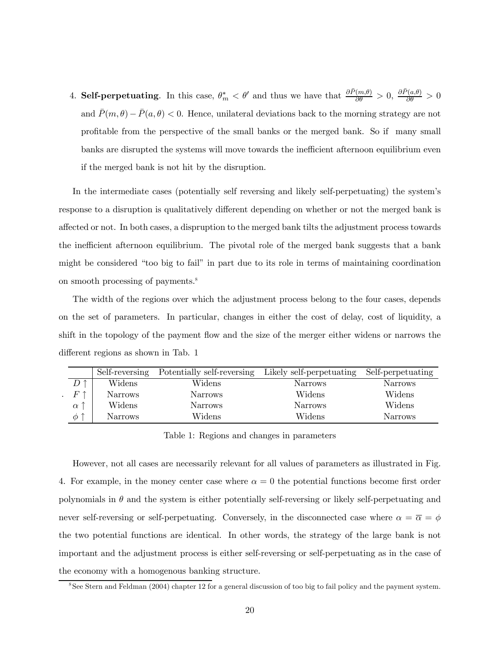4. Self-perpetuating. In this case,  $\theta_m^* < \theta'$  and thus we have that  $\frac{\partial \bar{P}(m,\theta)}{\partial \theta} > 0$ ,  $\frac{\partial \bar{P}(a,\theta)}{\partial \theta} > 0$ and  $\bar{P}(m, \theta) - \bar{P}(a, \theta) < 0$ . Hence, unilateral deviations back to the morning strategy are not profitable from the perspective of the small banks or the merged bank. So if many small banks are disrupted the systems will move towards the inefficient afternoon equilibrium even if the merged bank is not hit by the disruption.

In the intermediate cases (potentially self reversing and likely self-perpetuating) the system's response to a disruption is qualitatively different depending on whether or not the merged bank is affected or not. In both cases, a dispruption to the merged bank tilts the adjustment process towards the inefficient afternoon equilibrium. The pivotal role of the merged bank suggests that a bank might be considered "too big to fail" in part due to its role in terms of maintaining coordination on smooth processing of payments.8

The width of the regions over which the adjustment process belong to the four cases, depends on the set of parameters. In particular, changes in either the cost of delay, cost of liquidity, a shift in the topology of the payment flow and the size of the merger either widens or narrows the different regions as shown in Tab. 1

|              | Self-reversing | Potentially self-reversing | Likely self-perpetuating | Self-perpetuating |
|--------------|----------------|----------------------------|--------------------------|-------------------|
|              | Widens         | Widens                     | <b>Narrows</b>           | <b>Narrows</b>    |
| $\,F$        | <b>Narrows</b> | <b>Narrows</b>             | Widens                   | Widens            |
| $\alpha$     | Widens         | <b>Narrows</b>             | <b>Narrows</b>           | Widens            |
| 一个<br>$\phi$ | <b>Narrows</b> | Widens                     | Widens                   | <b>Narrows</b>    |

Table 1: Regions and changes in parameters

However, not all cases are necessarily relevant for all values of parameters as illustrated in Fig. 4. For example, in the money center case where  $\alpha = 0$  the potential functions become first order polynomials in  $\theta$  and the system is either potentially self-reversing or likely self-perpetuating and never self-reversing or self-perpetuating. Conversely, in the disconnected case where  $\alpha = \overline{\alpha} = \phi$ the two potential functions are identical. In other words, the strategy of the large bank is not important and the adjustment process is either self-reversing or self-perpetuating as in the case of the economy with a homogenous banking structure.

<sup>8</sup>See Stern and Feldman (2004) chapter 12 for a general discussion of too big to fail policy and the payment system.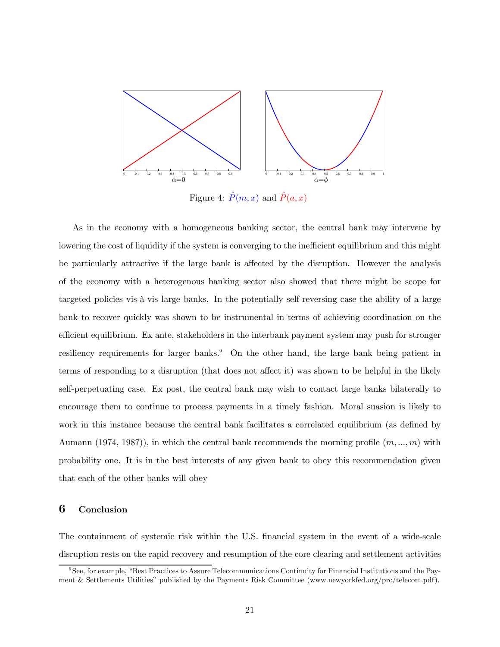

Figure 4:  $\hat{P}(m, x)$  and  $\hat{P}(a, x)$ 

As in the economy with a homogeneous banking sector, the central bank may intervene by lowering the cost of liquidity if the system is converging to the inefficient equilibrium and this might be particularly attractive if the large bank is affected by the disruption. However the analysis of the economy with a heterogenous banking sector also showed that there might be scope for targeted policies vis-à-vis large banks. In the potentially self-reversing case the ability of a large bank to recover quickly was shown to be instrumental in terms of achieving coordination on the efficient equilibrium. Ex ante, stakeholders in the interbank payment system may push for stronger resiliency requirements for larger banks.<sup>9</sup> On the other hand, the large bank being patient in terms of responding to a disruption (that does not affect it) was shown to be helpful in the likely self-perpetuating case. Ex post, the central bank may wish to contact large banks bilaterally to encourage them to continue to process payments in a timely fashion. Moral suasion is likely to work in this instance because the central bank facilitates a correlated equilibrium (as defined by Aumann (1974, 1987)), in which the central bank recommends the morning profile  $(m, ..., m)$  with probability one. It is in the best interests of any given bank to obey this recommendation given that each of the other banks will obey

## 6 Conclusion

The containment of systemic risk within the U.S. financial system in the event of a wide-scale disruption rests on the rapid recovery and resumption of the core clearing and settlement activities

<sup>&</sup>lt;sup>9</sup>See, for example, "Best Practices to Assure Telecommunications Continuity for Financial Institutions and the Payment & Settlements Utilities" published by the Payments Risk Committee (www.newyorkfed.org/prc/telecom.pdf).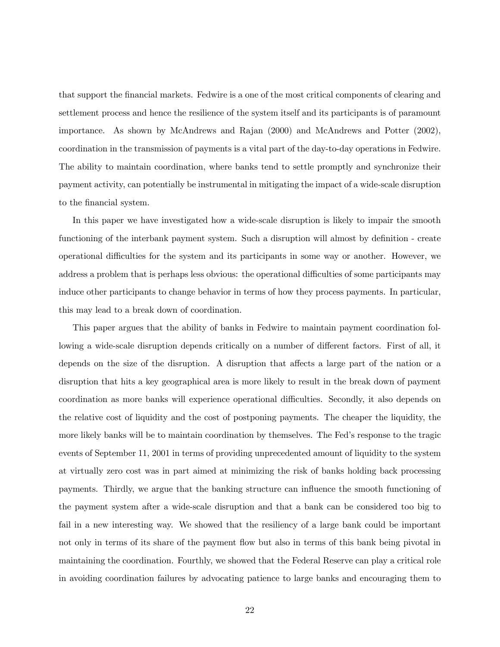that support the financial markets. Fedwire is a one of the most critical components of clearing and settlement process and hence the resilience of the system itself and its participants is of paramount importance. As shown by McAndrews and Rajan (2000) and McAndrews and Potter (2002), coordination in the transmission of payments is a vital part of the day-to-day operations in Fedwire. The ability to maintain coordination, where banks tend to settle promptly and synchronize their payment activity, can potentially be instrumental in mitigating the impact of a wide-scale disruption to the financial system.

In this paper we have investigated how a wide-scale disruption is likely to impair the smooth functioning of the interbank payment system. Such a disruption will almost by definition - create operational difficulties for the system and its participants in some way or another. However, we address a problem that is perhaps less obvious: the operational difficulties of some participants may induce other participants to change behavior in terms of how they process payments. In particular, this may lead to a break down of coordination.

This paper argues that the ability of banks in Fedwire to maintain payment coordination following a wide-scale disruption depends critically on a number of different factors. First of all, it depends on the size of the disruption. A disruption that affects a large part of the nation or a disruption that hits a key geographical area is more likely to result in the break down of payment coordination as more banks will experience operational difficulties. Secondly, it also depends on the relative cost of liquidity and the cost of postponing payments. The cheaper the liquidity, the more likely banks will be to maintain coordination by themselves. The Fed's response to the tragic events of September 11, 2001 in terms of providing unprecedented amount of liquidity to the system at virtually zero cost was in part aimed at minimizing the risk of banks holding back processing payments. Thirdly, we argue that the banking structure can influence the smooth functioning of the payment system after a wide-scale disruption and that a bank can be considered too big to fail in a new interesting way. We showed that the resiliency of a large bank could be important not only in terms of its share of the payment flow but also in terms of this bank being pivotal in maintaining the coordination. Fourthly, we showed that the Federal Reserve can play a critical role in avoiding coordination failures by advocating patience to large banks and encouraging them to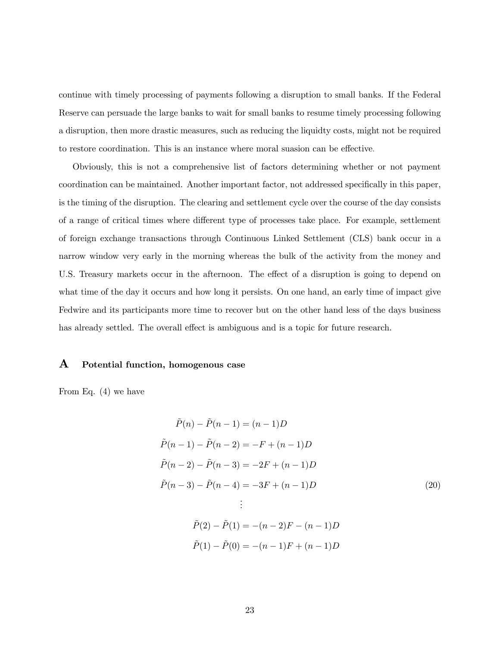continue with timely processing of payments following a disruption to small banks. If the Federal Reserve can persuade the large banks to wait for small banks to resume timely processing following a disruption, then more drastic measures, such as reducing the liquidty costs, might not be required to restore coordination. This is an instance where moral suasion can be effective.

Obviously, this is not a comprehensive list of factors determining whether or not payment coordination can be maintained. Another important factor, not addressed specifically in this paper, is the timing of the disruption. The clearing and settlement cycle over the course of the day consists of a range of critical times where different type of processes take place. For example, settlement of foreign exchange transactions through Continuous Linked Settlement (CLS) bank occur in a narrow window very early in the morning whereas the bulk of the activity from the money and U.S. Treasury markets occur in the afternoon. The effect of a disruption is going to depend on what time of the day it occurs and how long it persists. On one hand, an early time of impact give Fedwire and its participants more time to recover but on the other hand less of the days business has already settled. The overall effect is ambiguous and is a topic for future research.

## A Potential function, homogenous case

From Eq. (4) we have

$$
\tilde{P}(n) - \tilde{P}(n-1) = (n-1)D
$$
\n
$$
\tilde{P}(n-1) - \tilde{P}(n-2) = -F + (n-1)D
$$
\n
$$
\tilde{P}(n-2) - \tilde{P}(n-3) = -2F + (n-1)D
$$
\n
$$
\tilde{P}(n-3) - \tilde{P}(n-4) = -3F + (n-1)D
$$
\n
$$
\vdots
$$
\n
$$
\tilde{P}(2) - \tilde{P}(1) = -(n-2)F - (n-1)D
$$
\n
$$
\tilde{P}(1) - \tilde{P}(0) = -(n-1)F + (n-1)D
$$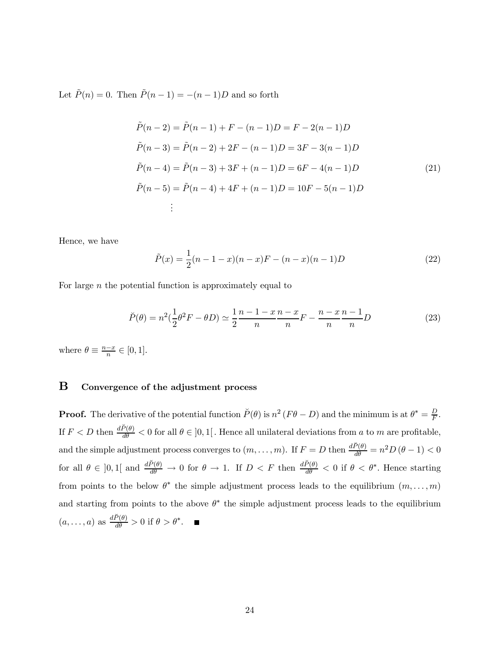Let  $\tilde{P}(n)=0$ . Then  $\tilde{P}(n-1) = -(n-1)D$  and so forth

$$
\tilde{P}(n-2) = \tilde{P}(n-1) + F - (n-1)D = F - 2(n-1)D
$$
\n
$$
\tilde{P}(n-3) = \tilde{P}(n-2) + 2F - (n-1)D = 3F - 3(n-1)D
$$
\n
$$
\tilde{P}(n-4) = \tilde{P}(n-3) + 3F + (n-1)D = 6F - 4(n-1)D
$$
\n
$$
\tilde{P}(n-5) = \tilde{P}(n-4) + 4F + (n-1)D = 10F - 5(n-1)D
$$
\n
$$
\vdots
$$
\n(21)

Hence, we have

$$
\tilde{P}(x) = \frac{1}{2}(n-1-x)(n-x)F - (n-x)(n-1)D
$$
\n(22)

For large  $n$  the potential function is approximately equal to

$$
\breve{P}(\theta) = n^2 \left(\frac{1}{2}\theta^2 F - \theta D\right) \simeq \frac{1}{2} \frac{n-1-x}{n} \frac{n-x}{n} F - \frac{n-x}{n} \frac{n-1}{n} D \tag{23}
$$

where  $\theta \equiv \frac{n-x}{n} \in [0,1].$ 

## B Convergence of the adjustment process

**Proof.** The derivative of the potential function  $\tilde{P}(\theta)$  is  $n^2 (F\theta - D)$  and the minimum is at  $\theta^* = \frac{D}{F}$ . If  $F < D$  then  $\frac{d\breve{P}(\theta)}{d\theta} < 0$  for all  $\theta \in ]0,1[$ . Hence all unilateral deviations from a to m are profitable, and the simple adjustment process converges to  $(m, \ldots, m)$ . If  $F = D$  then  $\frac{d\breve{P}(\theta)}{d\theta} = n^2 D (\theta - 1) < 0$ for all  $\theta \in ]0,1[$  and  $\frac{d\breve{P}(\theta)}{d\theta} \to 0$  for  $\theta \to 1$ . If  $D < F$  then  $\frac{d\breve{P}(\theta)}{d\theta} < 0$  if  $\theta < \theta^*$ . Hence starting from points to the below  $\theta^*$  the simple adjustment process leads to the equilibrium  $(m, \ldots, m)$ and starting from points to the above  $\theta^*$  the simple adjustment process leads to the equilibrium  $(a, \ldots, a)$  as  $\frac{d\breve{P}(\theta)}{d\theta} > 0$  if  $\theta > \theta^*$ .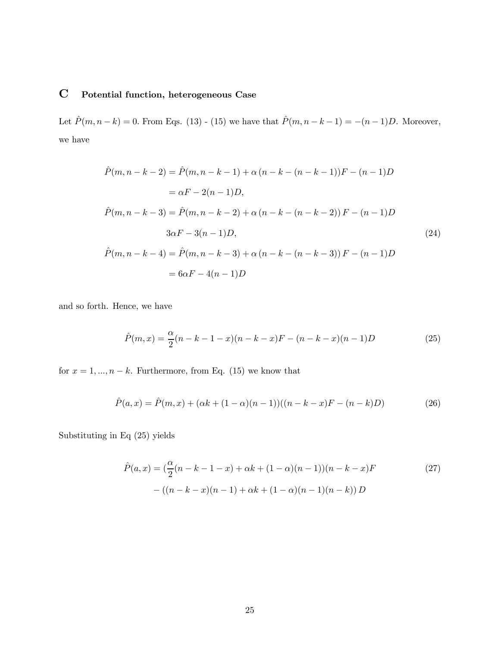# C Potential function, heterogeneous Case

Let  $\hat{P}(m, n-k) = 0$ . From Eqs. (13) - (15) we have that  $\hat{P}(m, n-k-1) = -(n-1)D$ . Moreover, we have

$$
\hat{P}(m, n - k - 2) = \hat{P}(m, n - k - 1) + \alpha (n - k - (n - k - 1))F - (n - 1)D
$$
  
\n
$$
= \alpha F - 2(n - 1)D,
$$
  
\n
$$
\hat{P}(m, n - k - 3) = \hat{P}(m, n - k - 2) + \alpha (n - k - (n - k - 2))F - (n - 1)D
$$
  
\n
$$
3\alpha F - 3(n - 1)D,
$$
  
\n
$$
\hat{P}(m, n - k - 4) = \hat{P}(m, n - k - 3) + \alpha (n - k - (n - k - 3))F - (n - 1)D
$$
  
\n
$$
= 6\alpha F - 4(n - 1)D
$$
  
\n(24)

and so forth. Hence, we have

$$
\hat{P}(m,x) = \frac{\alpha}{2}(n-k-1-x)(n-k-x)F - (n-k-x)(n-1)D\tag{25}
$$

for  $x = 1, ..., n - k$ . Furthermore, from Eq. (15) we know that

$$
\hat{P}(a,x) = \hat{P}(m,x) + (\alpha k + (1-\alpha)(n-1))((n-k-x)F - (n-k)D)
$$
\n(26)

Substituting in Eq (25) yields

$$
\hat{P}(a,x) = \left(\frac{\alpha}{2}(n-k-1-x) + \alpha k + (1-\alpha)(n-1)\right)(n-k-x)F
$$
\n
$$
-((n-k-x)(n-1) + \alpha k + (1-\alpha)(n-1)(n-k))D
$$
\n(27)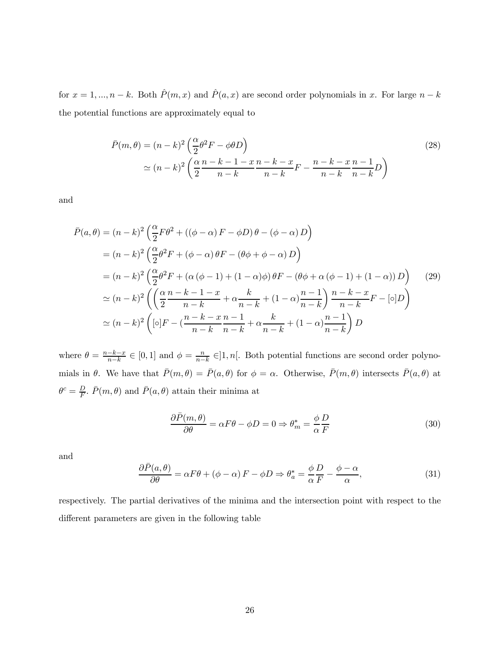for  $x = 1, ..., n - k$ . Both  $\hat{P}(m, x)$  and  $\hat{P}(a, x)$  are second order polynomials in x. For large  $n - k$ the potential functions are approximately equal to

$$
\bar{P}(m,\theta) = (n-k)^2 \left(\frac{\alpha}{2}\theta^2 F - \phi \theta D\right)
$$
  
\n
$$
\simeq (n-k)^2 \left(\frac{\alpha}{2}\frac{n-k-1-x}{n-k}\frac{n-k-x}{n-k}F - \frac{n-k-x}{n-k}\frac{n-1}{n-k}D\right)
$$
\n(28)

and

$$
\bar{P}(a,\theta) = (n-k)^2 \left(\frac{\alpha}{2} F \theta^2 + ((\phi - \alpha) F - \phi D) \theta - (\phi - \alpha) D\right)
$$
  
\n
$$
= (n-k)^2 \left(\frac{\alpha}{2} \theta^2 F + (\phi - \alpha) \theta F - (\theta \phi + \phi - \alpha) D\right)
$$
  
\n
$$
= (n-k)^2 \left(\frac{\alpha}{2} \theta^2 F + (\alpha (\phi - 1) + (1 - \alpha) \phi) \theta F - (\theta \phi + \alpha (\phi - 1) + (1 - \alpha)) D\right)
$$
  
\n
$$
\approx (n-k)^2 \left(\left(\frac{\alpha}{2} \frac{n-k-1-x}{n-k} + \alpha \frac{k}{n-k} + (1 - \alpha) \frac{n-1}{n-k}\right) \frac{n-k-x}{n-k} F - [\circ] D\right)
$$
  
\n
$$
\approx (n-k)^2 \left([\circ] F - (\frac{n-k-x}{n-k} \frac{n-1}{n-k} + \alpha \frac{k}{n-k} + (1 - \alpha) \frac{n-1}{n-k}\right) D
$$

where  $\theta = \frac{n-k-x}{n-k} \in [0,1]$  and  $\phi = \frac{n}{n-k} \in ]1,n[$ . Both potential functions are second order polynomials in  $\theta$ . We have that  $\bar{P}(m, \theta) = \bar{P}(a, \theta)$  for  $\phi = \alpha$ . Otherwise,  $\bar{P}(m, \theta)$  intersects  $\bar{P}(a, \theta)$  at  $\theta^c = \frac{D}{F}$ .  $\bar{P}(m, \theta)$  and  $\bar{P}(a, \theta)$  attain their minima at

$$
\frac{\partial \bar{P}(m,\theta)}{\partial \theta} = \alpha F \theta - \phi D = 0 \Rightarrow \theta_m^* = \frac{\phi}{\alpha} \frac{D}{F}
$$
(30)

and

$$
\frac{\partial \bar{P}(a,\theta)}{\partial \theta} = \alpha F \theta + (\phi - \alpha) F - \phi D \Rightarrow \theta_a^* = \frac{\phi}{\alpha} \frac{D}{F} - \frac{\phi - \alpha}{\alpha},\tag{31}
$$

respectively. The partial derivatives of the minima and the intersection point with respect to the different parameters are given in the following table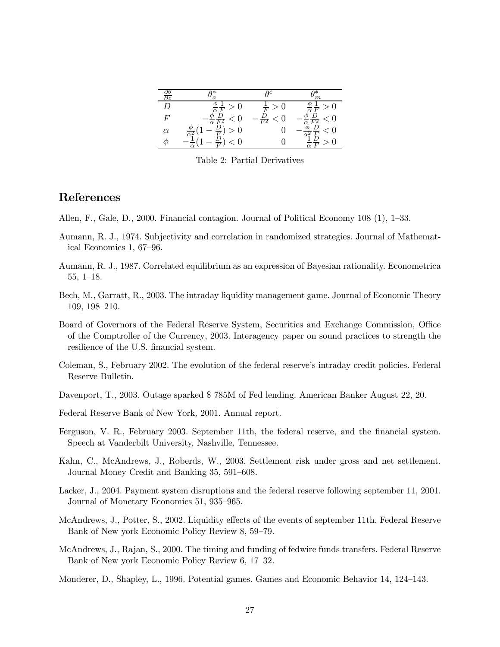| Jθ<br>$\overline{\partial z}$ | a                     | ηc                   | $\,m$                                                      |
|-------------------------------|-----------------------|----------------------|------------------------------------------------------------|
| D                             |                       | $\overline{F}$       |                                                            |
| $\boldsymbol{F}$              | $\alpha F^2$          | $\frac{D}{F^2}$<br>U | D<br>$\overline{0}$<br>$\overline{\alpha}\;\overline{F^2}$ |
| $\alpha$                      | $\overline{\alpha^2}$ |                      | $\overline{0}$                                             |
|                               |                       |                      |                                                            |

Table 2: Partial Derivatives

# References

Allen, F., Gale, D., 2000. Financial contagion. Journal of Political Economy 108 (1), 1—33.

- Aumann, R. J., 1974. Subjectivity and correlation in randomized strategies. Journal of Mathematical Economics 1, 67—96.
- Aumann, R. J., 1987. Correlated equilibrium as an expression of Bayesian rationality. Econometrica 55, 1—18.
- Bech, M., Garratt, R., 2003. The intraday liquidity management game. Journal of Economic Theory 109, 198—210.
- Board of Governors of the Federal Reserve System, Securities and Exchange Commission, Office of the Comptroller of the Currency, 2003. Interagency paper on sound practices to strength the resilience of the U.S. financial system.
- Coleman, S., February 2002. The evolution of the federal reserve's intraday credit policies. Federal Reserve Bulletin.
- Davenport, T., 2003. Outage sparked \$ 785M of Fed lending. American Banker August 22, 20.
- Federal Reserve Bank of New York, 2001. Annual report.
- Ferguson, V. R., February 2003. September 11th, the federal reserve, and the financial system. Speech at Vanderbilt University, Nashville, Tennessee.
- Kahn, C., McAndrews, J., Roberds, W., 2003. Settlement risk under gross and net settlement. Journal Money Credit and Banking 35, 591—608.
- Lacker, J., 2004. Payment system disruptions and the federal reserve following september 11, 2001. Journal of Monetary Economics 51, 935—965.
- McAndrews, J., Potter, S., 2002. Liquidity effects of the events of september 11th. Federal Reserve Bank of New york Economic Policy Review 8, 59—79.
- McAndrews, J., Rajan, S., 2000. The timing and funding of fedwire funds transfers. Federal Reserve Bank of New york Economic Policy Review 6, 17—32.
- Monderer, D., Shapley, L., 1996. Potential games. Games and Economic Behavior 14, 124—143.